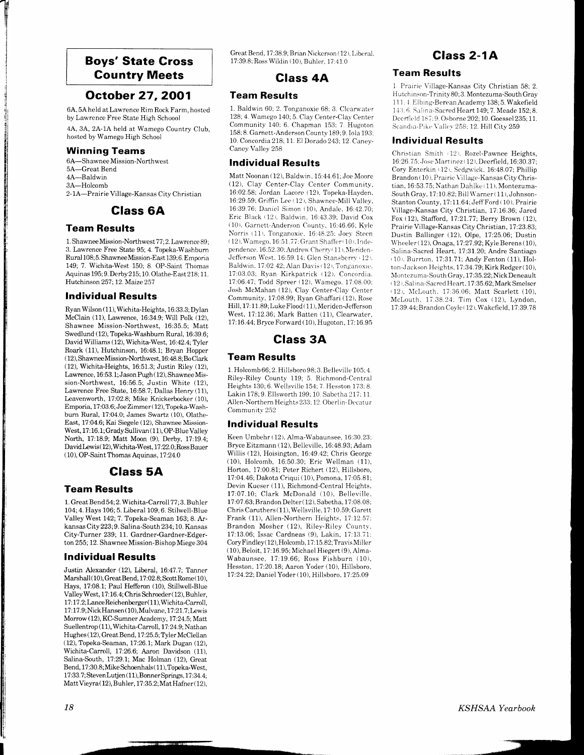### Boys' State Gross Country Meets

## October 27,2OO1

6,4', 5A held at Lawrence Rim Rock Farm, hosted by Lawrcnce Free State High Schoool 4A, 3A, 2A-1A held at Wamego Country Club,

hosted by Wamego High School

### Winning Teams

T tl , I

l

 $\mathbf{I}$ 

6A-Shawnee Mission-Northwest 5A-Great Bend 4A-Baldwin 3A-Holcomb 2- 1A-Prairie Village-Kansas City Christian

### Class 6A

### Team Results

1. Shawnee Mission-Northwest 77; 2. Lawrence 89; 3. Lawrence Free State 95; 4. Topeka-Wa^shbum Rurai 108; 5. ShawneeMission-East 139; 6. Emporia 149; 7. Wichita-West 150; 8. OP-Saint Thomas Aquinas 195; 9. Derby 215; 10. Olathe-East 218; 11. Hutchinson 257; 12. Maize 257

#### Individual Results

Ryan Wilson (11), Wichita-Heights, 16:33.3; Dylan McClain (11), Lawrence, 16:34.9; Will Polk (12), Shawnee Mission-Northwest. 16:35.5: Matt Swedlund (12), Topeka-Washburn Rural, 16:39.6; David Williams (12), Wichita-West, 16:42.4; Tyler Roark (11), Hutchinson, 16:48.1; Bryan Hopper ( 12), ShawneeMission-Northwest, 16:48.8;Bo Clark (12), Wichita-Heights, 16:51.3; Justin Riley (12), Lawrence, 16:53. 1; Jason Pugh ( 12), Shawnee Mission-Northwest, 16:56.5; Justin White (12), Lawrence Free State, 16:58.7; Dallas Henry (11), Leavenworth, 17:02.8; Mike Knickerbocker (10), Emporia, 17 :O3.6; Joe Zimmer ( 12), Topeka-Washburn Rural. 17:04.0: James Swartz (10). Olathe-East, 17:04.6; Kai Siegele (12), Shawnee Mission-West, 17:16.1; Grady Sullivan (11), OP-Blue Valley North, 17:18.9; Matt Moon (9), Derby, 17 19.4; DavidLewis( 12),Wichita-West, 17:22.0;RossBauer  $(10)$ , OP-Saint Thomas Aquinas, 17:24.0

### Glass 5A

#### Team Results

1. GreatBend 54; 2. Wichita-Carroll 77; 3. Buhler 704;4. Hays 106;5. Liberal 109;6. Stilwell-Blue Valley West 142; 7. Topeka-Seaman 163; 8. Arkansas City 223;9. Salina-South 234; 70.Kansas City-Turner 239; 11. Gardner-Gardner-Edgerton255;12. Shawnee Mission-Bishop Miege 304

#### Individual Results

Justin Alexander (12), Liberal, 16:47.7; Tanner Marshall ( 10), Great Bend, 17:02.8; ScottRome ( 10), Hays, 17:08.1; Paul Hefferon (10), Stillwell-Blue ValleyWest, 17: 16.4; Chris Schroeder ( 12), Buhler, 17 :17 .2;Lance Reichenberger( 11), Wichita-Carroll, 17:17.9; Nick Hansen (10), Mulvane, 17:21.7; Lewis Morrow (12), KC-Sumner Academy, 17:24.5; Matt Suellentrop (11), Wichita-Carroll, 17:24.9; Nathan Hughes (12), Great Bend, 17:25.5; Tyler McClellan (12), Topeka-Seaman, 17:26.1; Mark Dugan (12), Wichita-Carroll, 17:26.6; Aaron Davidson (11), Salina-South, 17:29.7; Mac Holman (12), Great Bend, 17:30.8; Mike Schoenhals (11), Topeka-West, 17:33.7; StevenLutjen (11), Bonner Springs, 17:34.4; Matt Vieyra ( 12), Buhler, 17 :35. 2 ; Mat Hafner ( 12),

Great Bend, 17:38.9; Brian Nickerson (12), Liberal. 17:39.8; Ross Wildin (10), Buhler, 17:41.0

### Glass 4A

### Team Results

1. Baldwin 60; 2. Tonganoxie 68; 3. Clearwater 128; 4. Wamego 140; 5. Clay Center-Clay Center Community 140: 6. Chapman 153: 7. Hugoton 158;8. Garnett-Anderson County 189;9. Iola 193: 10. Concordia 218; 11. El Dorado 243;12. Caney-Cancy Valley 258

#### Individual Results

Matt Noonan ( 12). Baldwin, 15:44.61; Joe Moore (12), Clay Center-Clay Center Community, 16:02.58; Jordan Lacore (12), Topeka-Hayden. 16:29.59; Griffin Lee ( 12). Shawnce-Mill Valley, 16:39.76: Danicl Simon (10). Andale. 16:42.70: Eric Black (12), Baldwin, 16:43.39; David Cox  $(10)$ . Garnett-Anderson County, 16;46.66; Kyle Norris (11), Tonganoxie. 16:48.25; Joey Steen  $(12)$ , Wamego. 16:51.77; Grant Shaffer $(10)$ , Independence. 16:52.30: Andrew Cherry (11), Meriden-Jefferson West. 16:59. 14: Glen Stansberry (12). Baldwin. 17:02.42; Alan Davis (12), Tonganoxie. 17:03.03; Ryan Kirkpatrick (12), Concordia. 17.06.47: Todd Spreer (12). Wamego. 17:08 00: Josh McMahan (12), Clay Center-Clay Center Community, 17:08.99; Ryan Ghaffari (12), Rose Hill, 17:11.89; Luke Flood (11), Meriden-Jefferson West, 17:12.36; Mark Batten (11), Clearwater, 17:16.44; Bryce Forward (10), Hugoton, 17:16.95

## Class 34

### Team Results

1. Holcomb 66; 2. Hillsboro 98;3. Belleville 105;4. Riley-Riley County 119; 5. Richmond-Central Heights 130; 6. Wellsville 154; 7. Hesston 173; 8. Lakin 178:9. Ellsworth 199: 10. Sabetha 217: 11. Allen-Northern Heights 233; 12. Oberlin-Decatur Communitv 252

### Individual Results

Keen Umbehr ( 12). Alma-Wabaunsee. 16:30.23: Bryce Eitzmann (12), Belleville, 16:48.93; Adam Wiilis (12), Hoisington, 16:49.42: Chris George (10), Holcomb, 16:50.30; Eric Wellman (11), Horton, 17:00.81; Peter Richert (12), Hillsboro, 17:04.46 Dakota Criqui (10), Pomona, 17:05.81; Devin Kueser (11), Richmond-Central Heights, 17:07.10; Clark McDonald (10), Belleville. 17:07.63; Brandon Delter ( 12), Sabetha, 17:08.08; Chris Caruthers ( 11), Wellsville, 17:10.59;Garett Frank (11), Allen-Northern Heights, 17:12.57: Brandon Mosher (12), Riley-Riley County, 17:13.06; Issac Cardneas (9). Lakin, 17:13.?1:  $Cory \cdot \text{Findley} (12), \text{Holcomb}, 17:15.82; \text{Travis Miller}$ ( 10), Beloit, 17:16.95; Michael Hiegert (9), Alma-Wabaunsee, 17:19.66; Ross Fishburn (10), Hesston, 17:20.18; Aaron Yoder (10), Hillsboro. 17 24.22; Daniel Yoder ( 10), Hillsboro, 77 25.09

# Glass 2-1A

#### Team Results

1 Prairie Village-Kansas City Christian 58; 2. Hutchinson-Trinity 80; 3. Montezuma-South Gray 111. 4. Elbing-Berean Academy 138; 5. Wakefield 143; 6. Salina-Sacred Heart 149; 7. Meade 152; 8. Deerfield 187:9. Osborne 202; 10. Goessel 235; 11. Scandia-Pike Valley 258; 12. Hill City 259

#### Individual Results

Christian Smith (12). Rozel-Pawnee Heights, 16:26.75; Jose Martinez (12), Deerfield, 16:30.37; Cory Enterkin (12). Sedgwick, 16:48.07; Phillip Brandon (10), Prairic Village-Kansas City Christian, 16:53.75; Nathan Dahlke (11). Montezuma-South Gray, 17:10.82; Bill Warner (11), Johnson-Stanton County, 17:11.64; Jeff Ford (10). Prairie Village-Kansas City Christian, 17: 16.36; Jared Fox (12), Stafford, 17:21.77; Berry Brown (12), Prairie Village-Kansas City Christian, 17:23.83; Dustin Ballinger (12), Olpe, 17:25.06; Dustin Wheeler  $( 12)$ , Onaga, 17:27.92; Kyle Berens (10), Salina-Sacred Heart, 17:31.20; Andre Santiago (10). Burrton, 17:31.71; Andy Fenton (11), Hol $ton-Jackson Heights, 17:34.79; Kirk Redger (10),$ Montezuma-South Grav. 17:35.22: Nick Deneault t 12 t. Salina-Sacred Hearl. 17:35.62;Mark Smelscr (12), McLouth. 17:36.06; Matt Scarlett (10), McLouth, 17:38.24; Tim Cox (12), Lyndon, 17:39.44; Brandon Coyle (12), Wakefield, 17:39.78

KSHSAA Yearbook